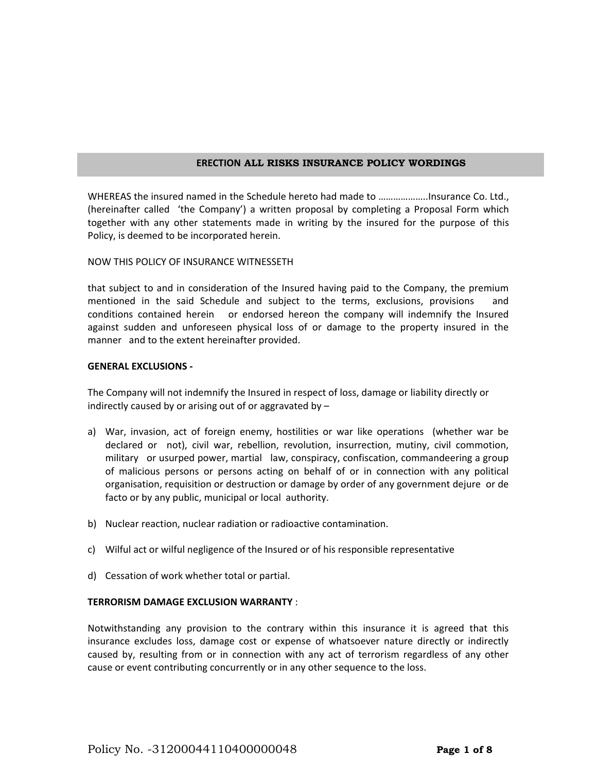# **ERECTION ALL RISKS INSURANCE POLICY WORDINGS**

WHEREAS the insured named in the Schedule hereto had made to ………………..Insurance Co. Ltd., (hereinafter called 'the Company') a written proposal by completing a Proposal Form which together with any other statements made in writing by the insured for the purpose of this Policy, is deemed to be incorporated herein.

### NOW THIS POLICY OF INSURANCE WITNESSETH

that subject to and in consideration of the Insured having paid to the Company, the premium mentioned in the said Schedule and subject to the terms, exclusions, provisions conditions contained herein or endorsed hereon the company will indemnify the Insured against sudden and unforeseen physical loss of or damage to the property insured in the manner and to the extent hereinafter provided.

## **GENERAL EXCLUSIONS -**

The Company will not indemnify the Insured in respect of loss, damage or liability directly or indirectly caused by or arising out of or aggravated by –

- a) War, invasion, act of foreign enemy, hostilities or war like operations (whether war be declared or not), civil war, rebellion, revolution, insurrection, mutiny, civil commotion, military or usurped power, martial law, conspiracy, confiscation, commandeering a group of malicious persons or persons acting on behalf of or in connection with any political organisation, requisition or destruction or damage by order of any government dejure or de facto or by any public, municipal or local authority.
- b) Nuclear reaction, nuclear radiation or radioactive contamination.
- c) Wilful act or wilful negligence of the Insured or of his responsible representative
- d) Cessation of work whether total or partial.

## **TERRORISM DAMAGE EXCLUSION WARRANTY** :

Notwithstanding any provision to the contrary within this insurance it is agreed that this insurance excludes loss, damage cost or expense of whatsoever nature directly or indirectly caused by, resulting from or in connection with any act of terrorism regardless of any other cause or event contributing concurrently or in any other sequence to the loss.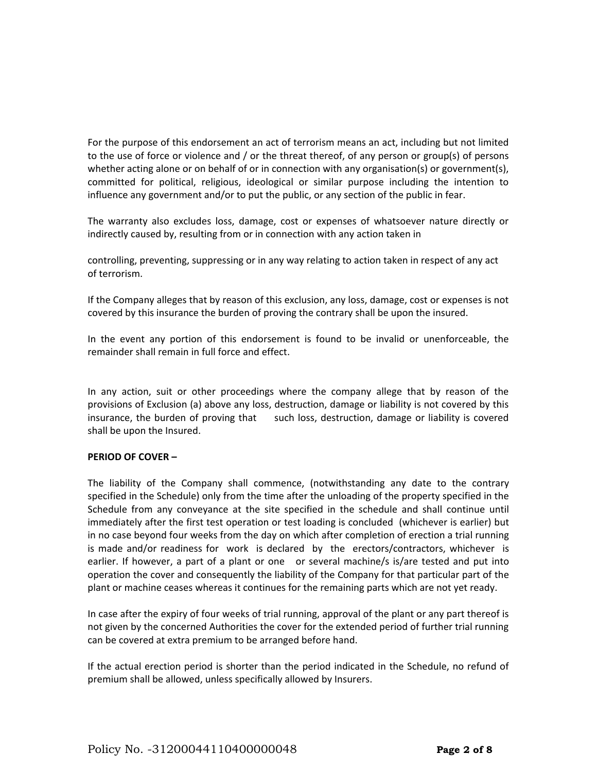For the purpose of this endorsement an act of terrorism means an act, including but not limited to the use of force or violence and / or the threat thereof, of any person or group(s) of persons whether acting alone or on behalf of or in connection with any organisation(s) or government(s), committed for political, religious, ideological or similar purpose including the intention to influence any government and/or to put the public, or any section of the public in fear.

The warranty also excludes loss, damage, cost or expenses of whatsoever nature directly or indirectly caused by, resulting from or in connection with any action taken in

controlling, preventing, suppressing or in any way relating to action taken in respect of any act of terrorism.

If the Company alleges that by reason of this exclusion, any loss, damage, cost or expenses is not covered by this insurance the burden of proving the contrary shall be upon the insured.

In the event any portion of this endorsement is found to be invalid or unenforceable, the remainder shall remain in full force and effect.

In any action, suit or other proceedings where the company allege that by reason of the provisions of Exclusion (a) above any loss, destruction, damage or liability is not covered by this insurance, the burden of proving that such loss, destruction, damage or liability is covered shall be upon the Insured.

# **PERIOD OF COVER –**

The liability of the Company shall commence, (notwithstanding any date to the contrary specified in the Schedule) only from the time after the unloading of the property specified in the Schedule from any conveyance at the site specified in the schedule and shall continue until immediately after the first test operation or test loading is concluded (whichever is earlier) but in no case beyond four weeks from the day on which after completion of erection a trial running is made and/or readiness for work is declared by the erectors/contractors, whichever is earlier. If however, a part of a plant or one or several machine/s is/are tested and put into operation the cover and consequently the liability of the Company for that particular part of the plant or machine ceases whereas it continues for the remaining parts which are not yet ready.

In case after the expiry of four weeks of trial running, approval of the plant or any part thereof is not given by the concerned Authorities the cover for the extended period of further trial running can be covered at extra premium to be arranged before hand.

If the actual erection period is shorter than the period indicated in the Schedule, no refund of premium shall be allowed, unless specifically allowed by Insurers.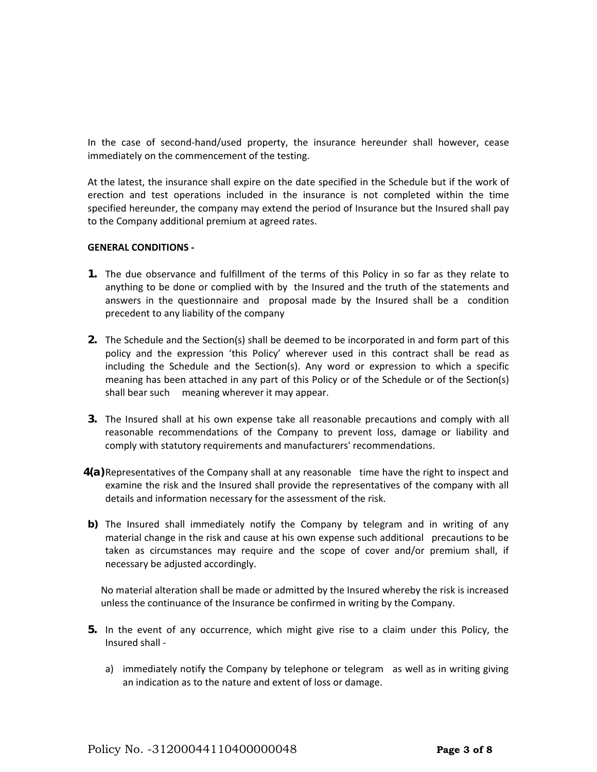In the case of second-hand/used property, the insurance hereunder shall however, cease immediately on the commencement of the testing.

At the latest, the insurance shall expire on the date specified in the Schedule but if the work of erection and test operations included in the insurance is not completed within the time specified hereunder, the company may extend the period of Insurance but the Insured shall pay to the Company additional premium at agreed rates.

## **GENERAL CONDITIONS -**

- **1.** The due observance and fulfillment of the terms of this Policy in so far as they relate to anything to be done or complied with by the Insured and the truth of the statements and answers in the questionnaire and proposal made by the Insured shall be a condition precedent to any liability of the company
- **2.** The Schedule and the Section(s) shall be deemed to be incorporated in and form part of this policy and the expression 'this Policy' wherever used in this contract shall be read as including the Schedule and the Section(s). Any word or expression to which a specific meaning has been attached in any part of this Policy or of the Schedule or of the Section(s) shall bear such meaning wherever it may appear.
- **3.** The Insured shall at his own expense take all reasonable precautions and comply with all reasonable recommendations of the Company to prevent loss, damage or liability and comply with statutory requirements and manufacturers' recommendations.
- **4(a)**Representatives of the Company shall at any reasonable time have the right to inspect and examine the risk and the Insured shall provide the representatives of the company with all details and information necessary for the assessment of the risk.
- **b)** The Insured shall immediately notify the Company by telegram and in writing of any material change in the risk and cause at his own expense such additional precautions to be taken as circumstances may require and the scope of cover and/or premium shall, if necessary be adjusted accordingly.

No material alteration shall be made or admitted by the Insured whereby the risk is increased unless the continuance of the Insurance be confirmed in writing by the Company.

- **5.** In the event of any occurrence, which might give rise to a claim under this Policy, the Insured shall
	- a) immediately notify the Company by telephone or telegram as well as in writing giving an indication as to the nature and extent of loss or damage.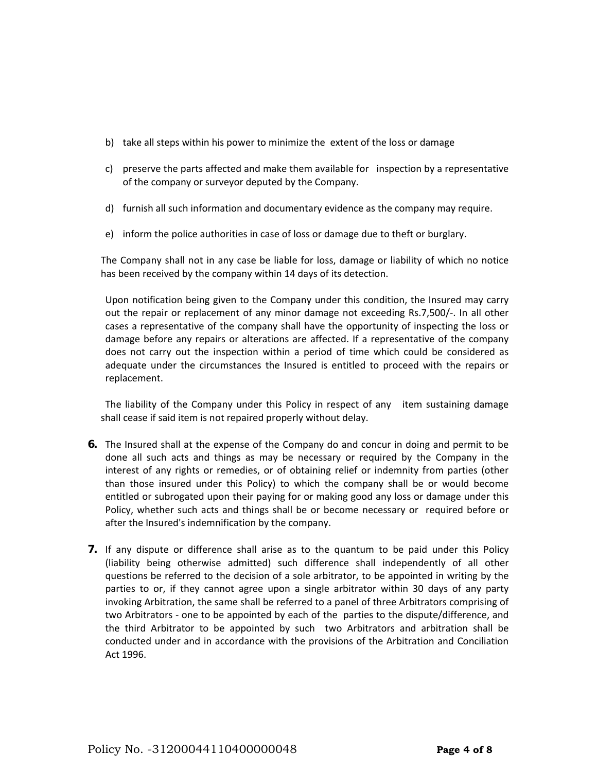- b) take all steps within his power to minimize the extent of the loss or damage
- c) preserve the parts affected and make them available for inspection by a representative of the company or surveyor deputed by the Company.
- d) furnish all such information and documentary evidence as the company may require.
- e) inform the police authorities in case of loss or damage due to theft or burglary.

The Company shall not in any case be liable for loss, damage or liability of which no notice has been received by the company within 14 days of its detection.

Upon notification being given to the Company under this condition, the Insured may carry out the repair or replacement of any minor damage not exceeding Rs.7,500/-. In all other cases a representative of the company shall have the opportunity of inspecting the loss or damage before any repairs or alterations are affected. If a representative of the company does not carry out the inspection within a period of time which could be considered as adequate under the circumstances the Insured is entitled to proceed with the repairs or replacement.

The liability of the Company under this Policy in respect of any item sustaining damage shall cease if said item is not repaired properly without delay.

- **6.** The Insured shall at the expense of the Company do and concur in doing and permit to be done all such acts and things as may be necessary or required by the Company in the interest of any rights or remedies, or of obtaining relief or indemnity from parties (other than those insured under this Policy) to which the company shall be or would become entitled or subrogated upon their paying for or making good any loss or damage under this Policy, whether such acts and things shall be or become necessary or required before or after the Insured's indemnification by the company.
- **7.** If any dispute or difference shall arise as to the quantum to be paid under this Policy (liability being otherwise admitted) such difference shall independently of all other questions be referred to the decision of a sole arbitrator, to be appointed in writing by the parties to or, if they cannot agree upon a single arbitrator within 30 days of any party invoking Arbitration, the same shall be referred to a panel of three Arbitrators comprising of two Arbitrators - one to be appointed by each of the parties to the dispute/difference, and the third Arbitrator to be appointed by such two Arbitrators and arbitration shall be conducted under and in accordance with the provisions of the Arbitration and Conciliation Act 1996.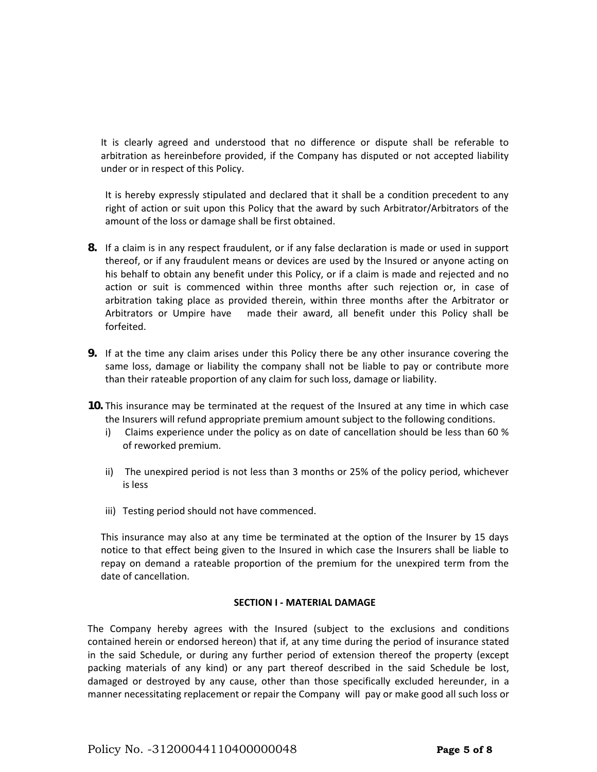It is clearly agreed and understood that no difference or dispute shall be referable to arbitration as hereinbefore provided, if the Company has disputed or not accepted liability under or in respect of this Policy.

It is hereby expressly stipulated and declared that it shall be a condition precedent to any right of action or suit upon this Policy that the award by such Arbitrator/Arbitrators of the amount of the loss or damage shall be first obtained.

- **8.** If a claim is in any respect fraudulent, or if any false declaration is made or used in support thereof, or if any fraudulent means or devices are used by the Insured or anyone acting on his behalf to obtain any benefit under this Policy, or if a claim is made and rejected and no action or suit is commenced within three months after such rejection or, in case of arbitration taking place as provided therein, within three months after the Arbitrator or Arbitrators or Umpire have made their award, all benefit under this Policy shall be forfeited.
- **9.** If at the time any claim arises under this Policy there be any other insurance covering the same loss, damage or liability the company shall not be liable to pay or contribute more than their rateable proportion of any claim for such loss, damage or liability.
- **10.** This insurance may be terminated at the request of the Insured at any time in which case the Insurers will refund appropriate premium amount subject to the following conditions.
	- i) Claims experience under the policy as on date of cancellation should be less than 60 % of reworked premium.
	- ii) The unexpired period is not less than 3 months or 25% of the policy period, whichever is less
	- iii) Testing period should not have commenced.

This insurance may also at any time be terminated at the option of the Insurer by 15 days notice to that effect being given to the Insured in which case the Insurers shall be liable to repay on demand a rateable proportion of the premium for the unexpired term from the date of cancellation.

# **SECTION I - MATERIAL DAMAGE**

The Company hereby agrees with the Insured (subject to the exclusions and conditions contained herein or endorsed hereon) that if, at any time during the period of insurance stated in the said Schedule, or during any further period of extension thereof the property (except packing materials of any kind) or any part thereof described in the said Schedule be lost, damaged or destroyed by any cause, other than those specifically excluded hereunder, in a manner necessitating replacement or repair the Company will pay or make good all such loss or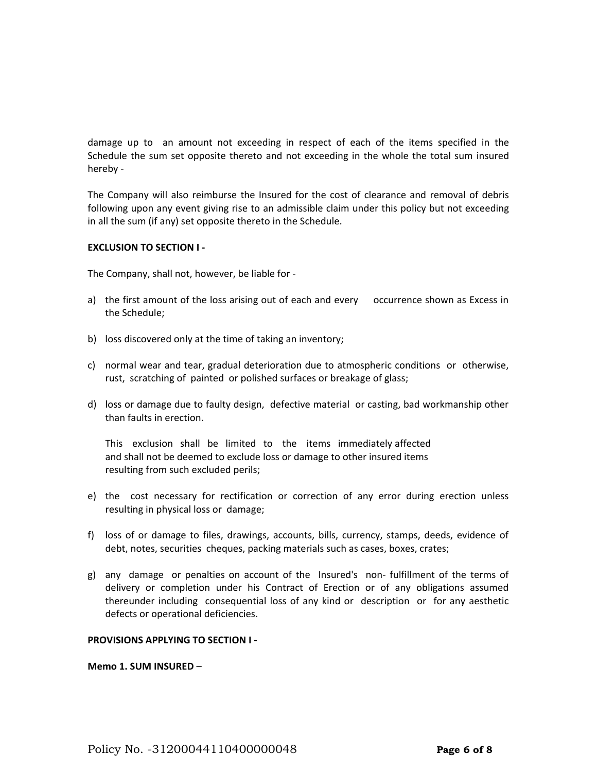damage up to an amount not exceeding in respect of each of the items specified in the Schedule the sum set opposite thereto and not exceeding in the whole the total sum insured hereby -

The Company will also reimburse the Insured for the cost of clearance and removal of debris following upon any event giving rise to an admissible claim under this policy but not exceeding in all the sum (if any) set opposite thereto in the Schedule.

## **EXCLUSION TO SECTION I -**

The Company, shall not, however, be liable for -

- a) the first amount of the loss arising out of each and every occurrence shown as Excess in the Schedule;
- b) loss discovered only at the time of taking an inventory;
- c) normal wear and tear, gradual deterioration due to atmospheric conditions or otherwise, rust, scratching of painted or polished surfaces or breakage of glass;
- d) loss or damage due to faulty design, defective material or casting, bad workmanship other than faults in erection.

This exclusion shall be limited to the items immediately affected and shall not be deemed to exclude loss or damage to other insured items resulting from such excluded perils;

- e) the cost necessary for rectification or correction of any error during erection unless resulting in physical loss or damage;
- f) loss of or damage to files, drawings, accounts, bills, currency, stamps, deeds, evidence of debt, notes, securities cheques, packing materials such as cases, boxes, crates;
- g) any damage or penalties on account of the Insured's non- fulfillment of the terms of delivery or completion under his Contract of Erection or of any obligations assumed thereunder including consequential loss of any kind or description or for any aesthetic defects or operational deficiencies.

### **PROVISIONS APPLYING TO SECTION I -**

**Memo 1. SUM INSURED** –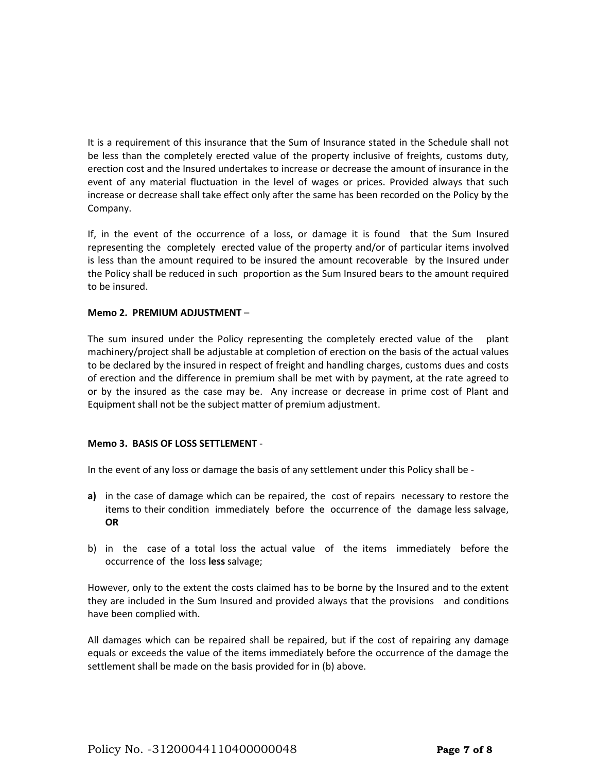It is a requirement of this insurance that the Sum of Insurance stated in the Schedule shall not be less than the completely erected value of the property inclusive of freights, customs duty, erection cost and the Insured undertakes to increase or decrease the amount of insurance in the event of any material fluctuation in the level of wages or prices. Provided always that such increase or decrease shall take effect only after the same has been recorded on the Policy by the Company.

If, in the event of the occurrence of a loss, or damage it is found that the Sum Insured representing the completely erected value of the property and/or of particular items involved is less than the amount required to be insured the amount recoverable by the Insured under the Policy shall be reduced in such proportion as the Sum Insured bears to the amount required to be insured.

# **Memo 2. PREMIUM ADJUSTMENT** –

The sum insured under the Policy representing the completely erected value of the plant machinery/project shall be adjustable at completion of erection on the basis of the actual values to be declared by the insured in respect of freight and handling charges, customs dues and costs of erection and the difference in premium shall be met with by payment, at the rate agreed to or by the insured as the case may be. Any increase or decrease in prime cost of Plant and Equipment shall not be the subject matter of premium adjustment.

# **Memo 3. BASIS OF LOSS SETTLEMENT** -

In the event of any loss or damage the basis of any settlement under this Policy shall be -

- **a)** in the case of damage which can be repaired, the cost of repairs necessary to restore the items to their condition immediately before the occurrence of the damage less salvage, **OR**
- b) in the case of a total loss the actual value of the items immediately before the occurrence of the loss **less** salvage;

However, only to the extent the costs claimed has to be borne by the Insured and to the extent they are included in the Sum Insured and provided always that the provisions and conditions have been complied with.

All damages which can be repaired shall be repaired, but if the cost of repairing any damage equals or exceeds the value of the items immediately before the occurrence of the damage the settlement shall be made on the basis provided for in (b) above.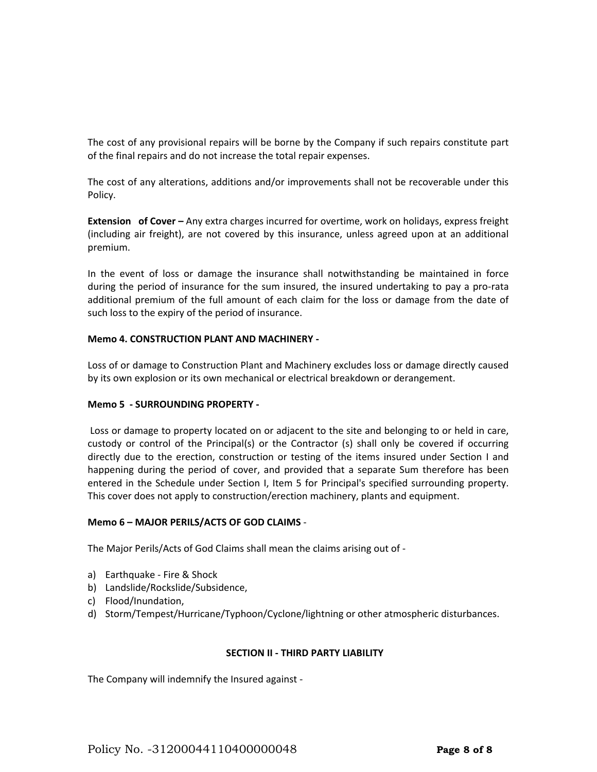The cost of any provisional repairs will be borne by the Company if such repairs constitute part of the final repairs and do not increase the total repair expenses.

The cost of any alterations, additions and/or improvements shall not be recoverable under this Policy.

**Extension of Cover –** Any extra charges incurred for overtime, work on holidays, express freight (including air freight), are not covered by this insurance, unless agreed upon at an additional premium.

In the event of loss or damage the insurance shall notwithstanding be maintained in force during the period of insurance for the sum insured, the insured undertaking to pay a pro-rata additional premium of the full amount of each claim for the loss or damage from the date of such loss to the expiry of the period of insurance.

# **Memo 4. CONSTRUCTION PLANT AND MACHINERY -**

Loss of or damage to Construction Plant and Machinery excludes loss or damage directly caused by its own explosion or its own mechanical or electrical breakdown or derangement.

# **Memo 5 - SURROUNDING PROPERTY -**

Loss or damage to property located on or adjacent to the site and belonging to or held in care, custody or control of the Principal(s) or the Contractor (s) shall only be covered if occurring directly due to the erection, construction or testing of the items insured under Section I and happening during the period of cover, and provided that a separate Sum therefore has been entered in the Schedule under Section I, Item 5 for Principal's specified surrounding property. This cover does not apply to construction/erection machinery, plants and equipment.

### **Memo 6 – MAJOR PERILS/ACTS OF GOD CLAIMS** -

The Major Perils/Acts of God Claims shall mean the claims arising out of -

- a) Earthquake Fire & Shock
- b) Landslide/Rockslide/Subsidence,
- c) Flood/Inundation,
- d) Storm/Tempest/Hurricane/Typhoon/Cyclone/lightning or other atmospheric disturbances.

### **SECTION II - THIRD PARTY LIABILITY**

The Company will indemnify the Insured against -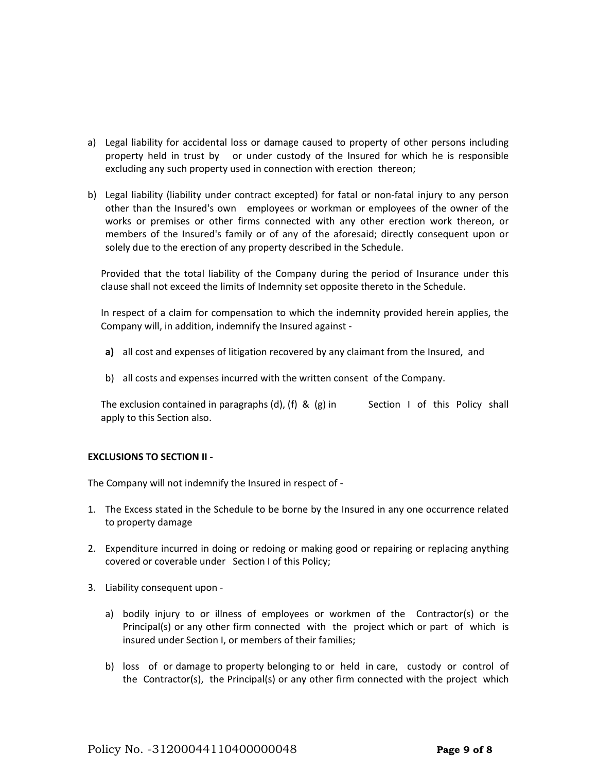- a) Legal liability for accidental loss or damage caused to property of other persons including property held in trust by or under custody of the Insured for which he is responsible excluding any such property used in connection with erection thereon;
- b) Legal liability (liability under contract excepted) for fatal or non-fatal injury to any person other than the Insured's own employees or workman or employees of the owner of the works or premises or other firms connected with any other erection work thereon, or members of the Insured's family or of any of the aforesaid; directly consequent upon or solely due to the erection of any property described in the Schedule.

Provided that the total liability of the Company during the period of Insurance under this clause shall not exceed the limits of Indemnity set opposite thereto in the Schedule.

In respect of a claim for compensation to which the indemnity provided herein applies, the Company will, in addition, indemnify the Insured against -

- **a)** all cost and expenses of litigation recovered by any claimant from the Insured, and
- b) all costs and expenses incurred with the written consent of the Company.

The exclusion contained in paragraphs (d), (f) & (g) in Section I of this Policy shall apply to this Section also.

# **EXCLUSIONS TO SECTION II -**

The Company will not indemnify the Insured in respect of -

- 1. The Excess stated in the Schedule to be borne by the Insured in any one occurrence related to property damage
- 2. Expenditure incurred in doing or redoing or making good or repairing or replacing anything covered or coverable under Section I of this Policy;
- 3. Liability consequent upon
	- a) bodily injury to or illness of employees or workmen of the Contractor(s) or the Principal(s) or any other firm connected with the project which or part of which is insured under Section I, or members of their families;
	- b) loss of or damage to property belonging to or held in care, custody or control of the Contractor(s), the Principal(s) or any other firm connected with the project which